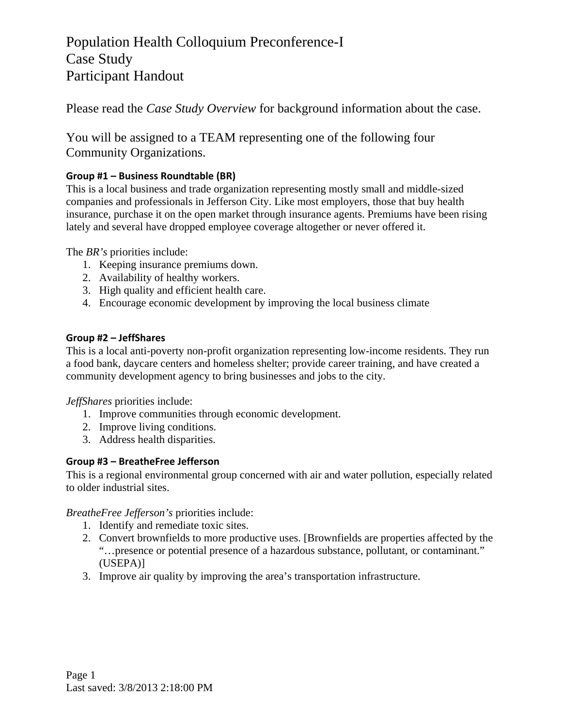Please read the *Case Study Overview* for background information about the case.

You will be assigned to a TEAM representing one of the following four Community Organizations.

### **Group #1 – Business Roundtable (BR)**

This is a local business and trade organization representing mostly small and middle-sized companies and professionals in Jefferson City. Like most employers, those that buy health insurance, purchase it on the open market through insurance agents. Premiums have been rising lately and several have dropped employee coverage altogether or never offered it.

The *BR's* priorities include:

- 1. Keeping insurance premiums down.
- 2. Availability of healthy workers.
- 3. High quality and efficient health care.
- 4. Encourage economic development by improving the local business climate

#### **Group #2 – JeffShares**

This is a local anti-poverty non-profit organization representing low-income residents. They run a food bank, daycare centers and homeless shelter; provide career training, and have created a community development agency to bring businesses and jobs to the city.

*JeffShares* priorities include:

- 1. Improve communities through economic development.
- 2. Improve living conditions.
- 3. Address health disparities.

#### **Group #3 – BreatheFree Jefferson**

This is a regional environmental group concerned with air and water pollution, especially related to older industrial sites.

*BreatheFree Jefferson's* priorities include:

- 1. Identify and remediate toxic sites.
- 2. Convert brownfields to more productive uses. [Brownfields are properties affected by the "…presence or potential presence of a hazardous substance, pollutant, or contaminant." (USEPA)]
- 3. Improve air quality by improving the area's transportation infrastructure.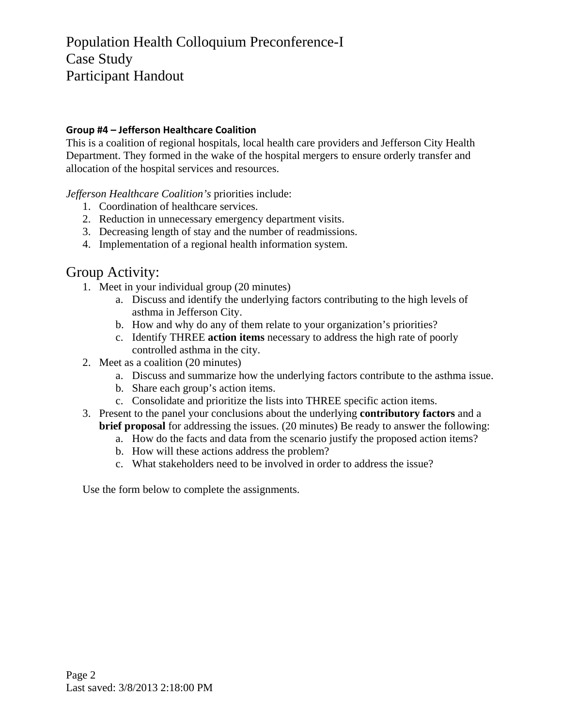#### **Group #4 – Jefferson Healthcare Coalition**

This is a coalition of regional hospitals, local health care providers and Jefferson City Health Department. They formed in the wake of the hospital mergers to ensure orderly transfer and allocation of the hospital services and resources.

*Jefferson Healthcare Coalition's* priorities include:

- 1. Coordination of healthcare services.
- 2. Reduction in unnecessary emergency department visits.
- 3. Decreasing length of stay and the number of readmissions.
- 4. Implementation of a regional health information system.

### Group Activity:

- 1. Meet in your individual group (20 minutes)
	- a. Discuss and identify the underlying factors contributing to the high levels of asthma in Jefferson City.
	- b. How and why do any of them relate to your organization's priorities?
	- c. Identify THREE **action items** necessary to address the high rate of poorly controlled asthma in the city.
- 2. Meet as a coalition (20 minutes)
	- a. Discuss and summarize how the underlying factors contribute to the asthma issue.
	- b. Share each group's action items.
	- c. Consolidate and prioritize the lists into THREE specific action items.
- 3. Present to the panel your conclusions about the underlying **contributory factors** and a **brief proposal** for addressing the issues. (20 minutes) Be ready to answer the following:
	- a. How do the facts and data from the scenario justify the proposed action items?
	- b. How will these actions address the problem?
	- c. What stakeholders need to be involved in order to address the issue?

Use the form below to complete the assignments.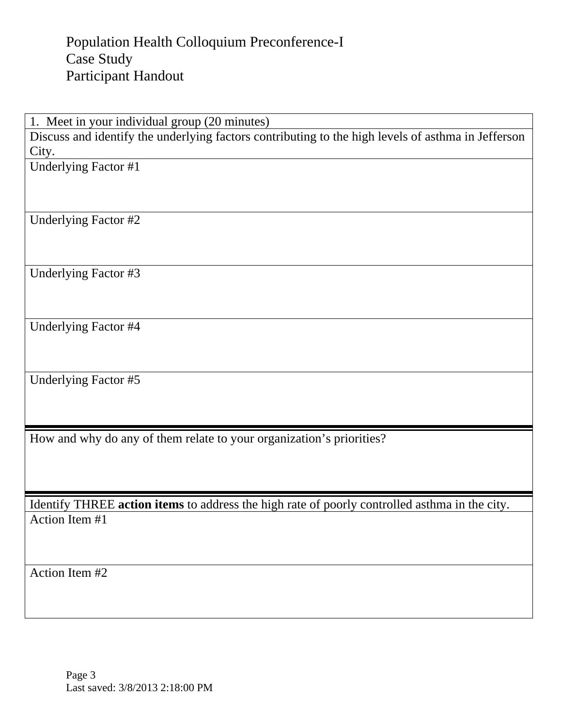1. Meet in your individual group (20 minutes)

Discuss and identify the underlying factors contributing to the high levels of asthma in Jefferson City.

Underlying Factor #1

Underlying Factor #2

Underlying Factor #3

Underlying Factor #4

Underlying Factor #5

How and why do any of them relate to your organization's priorities?

Identify THREE **action items** to address the high rate of poorly controlled asthma in the city. Action Item #1

Action Item #2